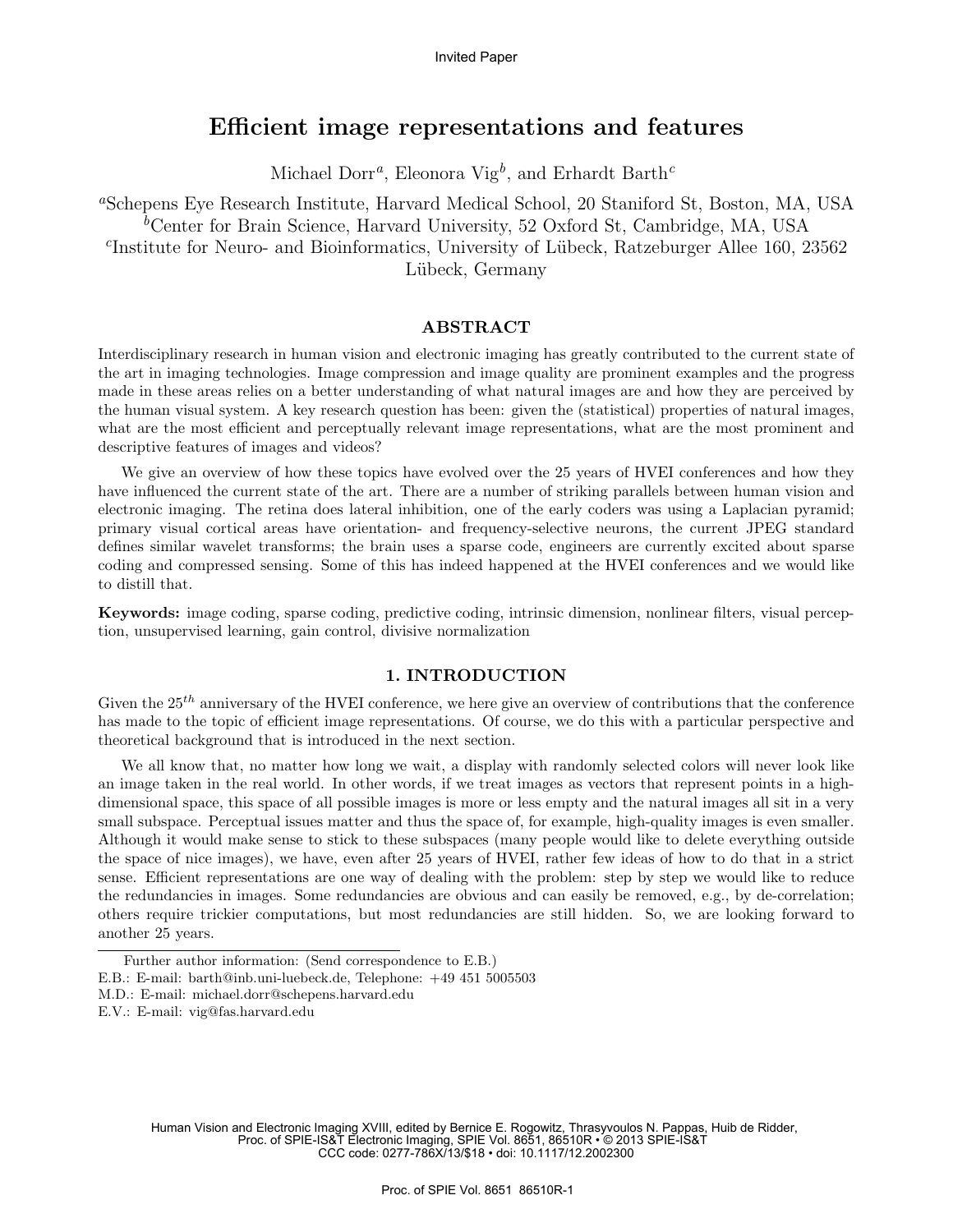# Efficient image representations and features

Michael Dorr<sup>a</sup>, Eleonora Vig<sup>b</sup>, and Erhardt Barth<sup>c</sup>

<sup>a</sup>Schepens Eye Research Institute, Harvard Medical School, 20 Staniford St, Boston, MA, USA

<sup>b</sup>Center for Brain Science, Harvard University, 52 Oxford St, Cambridge, MA, USA

<sup>c</sup>Institute for Neuro- and Bioinformatics, University of Lübeck, Ratzeburger Allee 160, 23562 Lübeck, Germany

ABSTRACT

Interdisciplinary research in human vision and electronic imaging has greatly contributed to the current state of the art in imaging technologies. Image compression and image quality are prominent examples and the progress made in these areas relies on a better understanding of what natural images are and how they are perceived by the human visual system. A key research question has been: given the (statistical) properties of natural images, what are the most efficient and perceptually relevant image representations, what are the most prominent and descriptive features of images and videos?

We give an overview of how these topics have evolved over the 25 years of HVEI conferences and how they have influenced the current state of the art. There are a number of striking parallels between human vision and electronic imaging. The retina does lateral inhibition, one of the early coders was using a Laplacian pyramid; primary visual cortical areas have orientation- and frequency-selective neurons, the current JPEG standard defines similar wavelet transforms; the brain uses a sparse code, engineers are currently excited about sparse coding and compressed sensing. Some of this has indeed happened at the HVEI conferences and we would like to distill that.

Keywords: image coding, sparse coding, predictive coding, intrinsic dimension, nonlinear filters, visual perception, unsupervised learning, gain control, divisive normalization

## 1. INTRODUCTION

Given the  $25<sup>th</sup>$  anniversary of the HVEI conference, we here give an overview of contributions that the conference has made to the topic of efficient image representations. Of course, we do this with a particular perspective and theoretical background that is introduced in the next section.

We all know that, no matter how long we wait, a display with randomly selected colors will never look like an image taken in the real world. In other words, if we treat images as vectors that represent points in a highdimensional space, this space of all possible images is more or less empty and the natural images all sit in a very small subspace. Perceptual issues matter and thus the space of, for example, high-quality images is even smaller. Although it would make sense to stick to these subspaces (many people would like to delete everything outside the space of nice images), we have, even after 25 years of HVEI, rather few ideas of how to do that in a strict sense. Efficient representations are one way of dealing with the problem: step by step we would like to reduce the redundancies in images. Some redundancies are obvious and can easily be removed, e.g., by de-correlation; others require trickier computations, but most redundancies are still hidden. So, we are looking forward to another 25 years.

M.D.: E-mail: michael.dorr@schepens.harvard.edu

Human Vision and Electronic Imaging XVIII, edited by Bernice E. Rogowitz, Thrasyvoulos N. Pappas, Huib de Ridder, Proc. of SPIE-IS&T Electronic Imaging, SPIE Vol. 8651, 86510R • © 2013 SPIE-IS&T CCC code: 0277-786X/13/\$18 • doi: 10.1117/12.2002300

Further author information: (Send correspondence to E.B.)

E.B.: E-mail: barth@inb.uni-luebeck.de, Telephone: +49 451 5005503

E.V.: E-mail: vig@fas.harvard.edu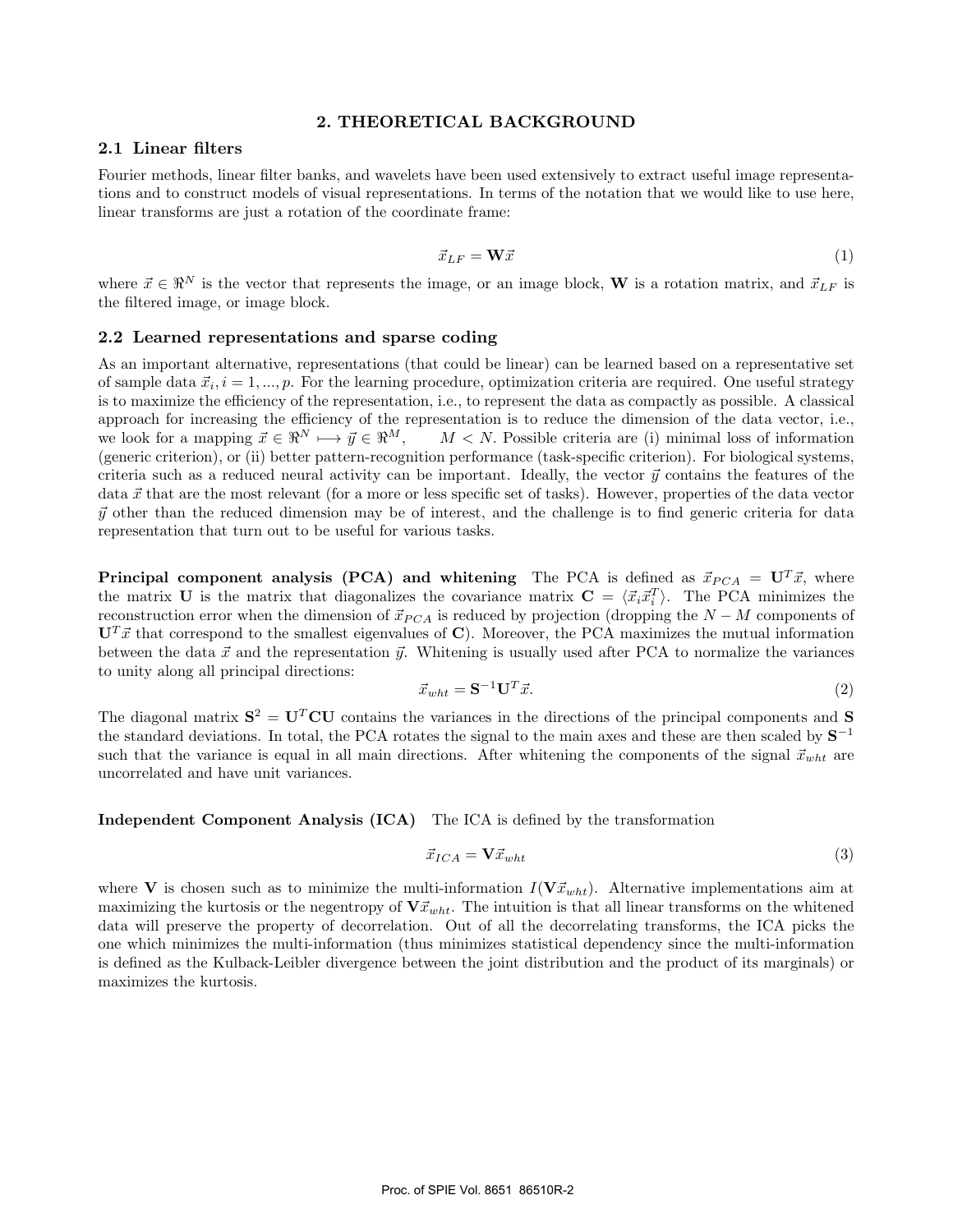## 2. THEORETICAL BACKGROUND

## 2.1 Linear filters

Fourier methods, linear filter banks, and wavelets have been used extensively to extract useful image representations and to construct models of visual representations. In terms of the notation that we would like to use here, linear transforms are just a rotation of the coordinate frame:

$$
\vec{x}_{LF} = \mathbf{W}\vec{x} \tag{1}
$$

where  $\vec{x} \in \Re^{N}$  is the vector that represents the image, or an image block, W is a rotation matrix, and  $\vec{x}_{LF}$  is the filtered image, or image block.

#### 2.2 Learned representations and sparse coding

As an important alternative, representations (that could be linear) can be learned based on a representative set of sample data  $\vec{x}_i$ ,  $i = 1, ..., p$ . For the learning procedure, optimization criteria are required. One useful strategy is to maximize the efficiency of the representation, i.e., to represent the data as compactly as possible. A classical approach for increasing the efficiency of the representation is to reduce the dimension of the data vector, i.e., we look for a mapping  $\vec{x} \in \mathbb{R}^N \mapsto \vec{y} \in \mathbb{R}^M$ ,  $M < N$ . Possible criteria are (i) minimal loss of  $M < N$ . Possible criteria are (i) minimal loss of information (generic criterion), or (ii) better pattern-recognition performance (task-specific criterion). For biological systems, criteria such as a reduced neural activity can be important. Ideally, the vector  $\vec{y}$  contains the features of the data  $\vec{x}$  that are the most relevant (for a more or less specific set of tasks). However, properties of the data vector  $\vec{y}$  other than the reduced dimension may be of interest, and the challenge is to find generic criteria for data representation that turn out to be useful for various tasks.

**Principal component analysis (PCA) and whitening** The PCA is defined as  $\vec{x}_{PCA} = U^T \vec{x}$ , where the matrix U is the matrix that diagonalizes the covariance matrix  $C = \langle \vec{x}_i \vec{x}_i^T \rangle$ . The PCA minimizes the reconstruction error when the dimension of  $\vec{x}_{PCA}$  is reduced by projection (dropping the  $N - M$  components of  $U^T \vec{x}$  that correspond to the smallest eigenvalues of C). Moreover, the PCA maximizes the mutual information between the data  $\vec{x}$  and the representation  $\vec{y}$ . Whitening is usually used after PCA to normalize the variances to unity along all principal directions:

$$
\vec{x}_{wht} = \mathbf{S}^{-1} \mathbf{U}^T \vec{x}.\tag{2}
$$

The diagonal matrix  $S^2 = U^T C U$  contains the variances in the directions of the principal components and S the standard deviations. In total, the PCA rotates the signal to the main axes and these are then scaled by  $S^{-1}$ such that the variance is equal in all main directions. After whitening the components of the signal  $\vec{x}_{wht}$  are uncorrelated and have unit variances.

## Independent Component Analysis (ICA) The ICA is defined by the transformation

$$
\vec{x}_{ICA} = \mathbf{V}\vec{x}_{wht} \tag{3}
$$

where V is chosen such as to minimize the multi-information  $I(V\vec{x}_{wht})$ . Alternative implementations aim at maximizing the kurtosis or the negentropy of  $V\vec{x}_{wht}$ . The intuition is that all linear transforms on the whitened data will preserve the property of decorrelation. Out of all the decorrelating transforms, the ICA picks the one which minimizes the multi-information (thus minimizes statistical dependency since the multi-information is defined as the Kulback-Leibler divergence between the joint distribution and the product of its marginals) or maximizes the kurtosis.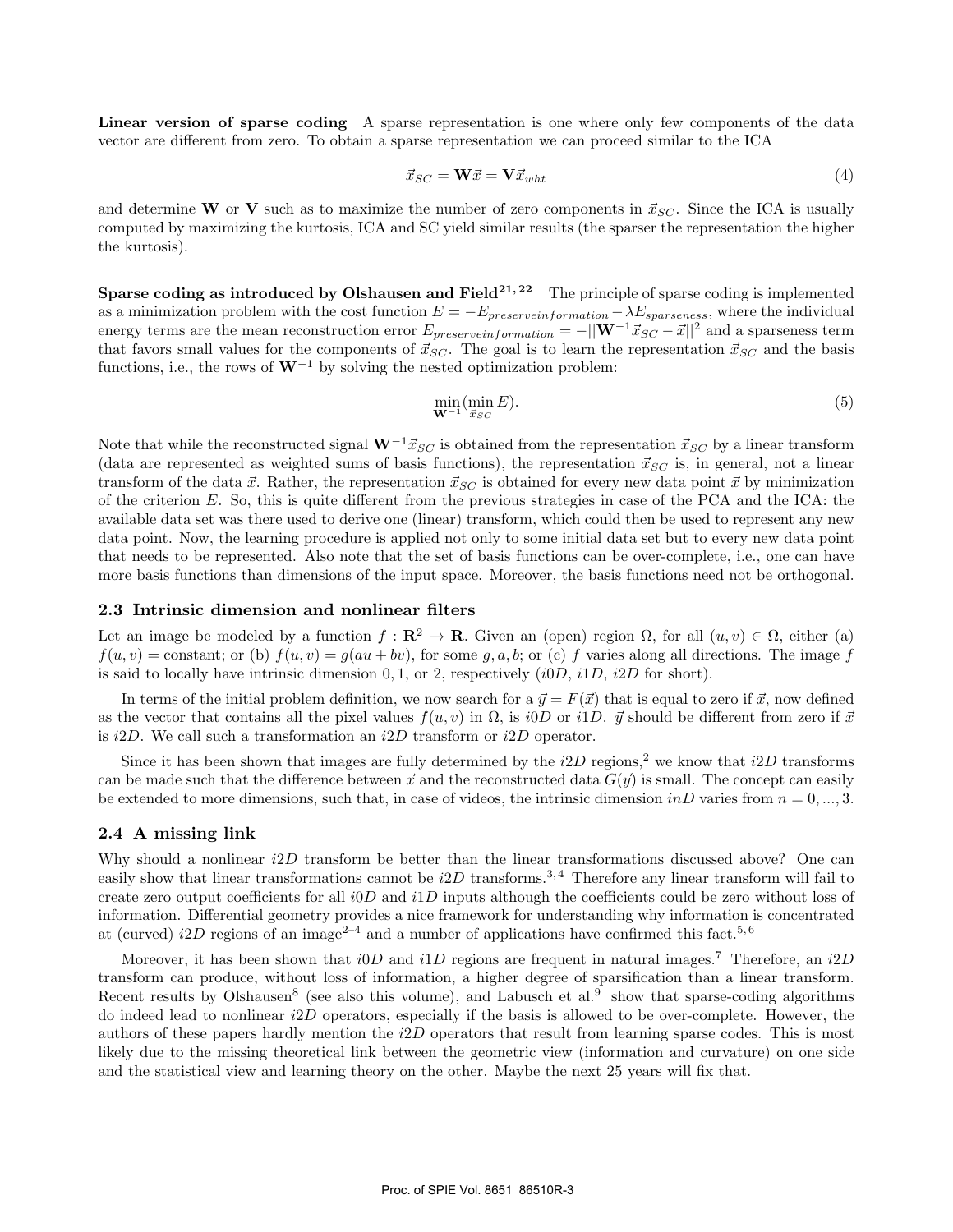Linear version of sparse coding A sparse representation is one where only few components of the data vector are different from zero. To obtain a sparse representation we can proceed similar to the ICA

$$
\vec{x}_{SC} = \mathbf{W}\vec{x} = \mathbf{V}\vec{x}_{wht} \tag{4}
$$

and determine W or V such as to maximize the number of zero components in  $\vec{x}_{SC}$ . Since the ICA is usually computed by maximizing the kurtosis, ICA and SC yield similar results (the sparser the representation the higher the kurtosis).

**Sparse coding as introduced by Olshausen and Field**<sup>21, 22</sup> The principle of sparse coding is implemented as a minimization problem with the cost function  $E = -E_{preservenformation} - \lambda E_{sparseness}$ , where the individual energy terms are the mean reconstruction error  $E_{preservenformation} = -||\mathbf{W}^{-1}\vec{x}_{SC} - \vec{x}||^2$  and a sparseness term that favors small values for the components of  $\vec{x}_{SC}$ . The goal is to learn the representation  $\vec{x}_{SC}$  and the basis functions, i.e., the rows of  $W^{-1}$  by solving the nested optimization problem:

$$
\min_{\mathbf{W}^{-1}} (\min_{\vec{x}_{SC}} E). \tag{5}
$$

Note that while the reconstructed signal  $W^{-1}$  $\vec{x}_{SC}$  is obtained from the representation  $\vec{x}_{SC}$  by a linear transform (data are represented as weighted sums of basis functions), the representation  $\vec{x}_{SC}$  is, in general, not a linear transform of the data  $\vec{x}$ . Rather, the representation  $\vec{x}_{SC}$  is obtained for every new data point  $\vec{x}$  by minimization of the criterion E. So, this is quite different from the previous strategies in case of the PCA and the ICA: the available data set was there used to derive one (linear) transform, which could then be used to represent any new data point. Now, the learning procedure is applied not only to some initial data set but to every new data point that needs to be represented. Also note that the set of basis functions can be over-complete, i.e., one can have more basis functions than dimensions of the input space. Moreover, the basis functions need not be orthogonal.

#### 2.3 Intrinsic dimension and nonlinear filters

Let an image be modeled by a function  $f : \mathbb{R}^2 \to \mathbb{R}$ . Given an (open) region  $\Omega$ , for all  $(u, v) \in \Omega$ , either (a)  $f(u, v) =$  constant; or (b)  $f(u, v) = g(au + bv)$ , for some g, a, b; or (c) f varies along all directions. The image f is said to locally have intrinsic dimension 0, 1, or 2, respectively  $(i0D, i1D, i2D$  for short).

In terms of the initial problem definition, we now search for a  $\vec{y} = F(\vec{x})$  that is equal to zero if  $\vec{x}$ , now defined as the vector that contains all the pixel values  $f(u, v)$  in  $\Omega$ , is i0D or i1D.  $\vec{y}$  should be different from zero if  $\vec{x}$ is i2D. We call such a transformation an i2D transform or i2D operator.

Since it has been shown that images are fully determined by the  $i2D$  regions,<sup>2</sup> we know that  $i2D$  transforms can be made such that the difference between  $\vec{x}$  and the reconstructed data  $G(\vec{y})$  is small. The concept can easily be extended to more dimensions, such that, in case of videos, the intrinsic dimension  $inD$  varies from  $n = 0, ..., 3$ .

#### 2.4 A missing link

Why should a nonlinear  $i2D$  transform be better than the linear transformations discussed above? One can easily show that linear transformations cannot be  $i2D$  transforms.<sup>3,4</sup> Therefore any linear transform will fail to create zero output coefficients for all  $i0D$  and  $i1D$  inputs although the coefficients could be zero without loss of information. Differential geometry provides a nice framework for understanding why information is concentrated at (curved) i2D regions of an image<sup>2-4</sup> and a number of applications have confirmed this fact.<sup>5, 6</sup>

Moreover, it has been shown that  $i0D$  and  $i1D$  regions are frequent in natural images.<sup>7</sup> Therefore, an  $i2D$ transform can produce, without loss of information, a higher degree of sparsification than a linear transform. Recent results by Olshausen<sup>8</sup> (see also this volume), and Labusch et al.<sup>9</sup> show that sparse-coding algorithms do indeed lead to nonlinear  $i2D$  operators, especially if the basis is allowed to be over-complete. However, the authors of these papers hardly mention the  $i2D$  operators that result from learning sparse codes. This is most likely due to the missing theoretical link between the geometric view (information and curvature) on one side and the statistical view and learning theory on the other. Maybe the next 25 years will fix that.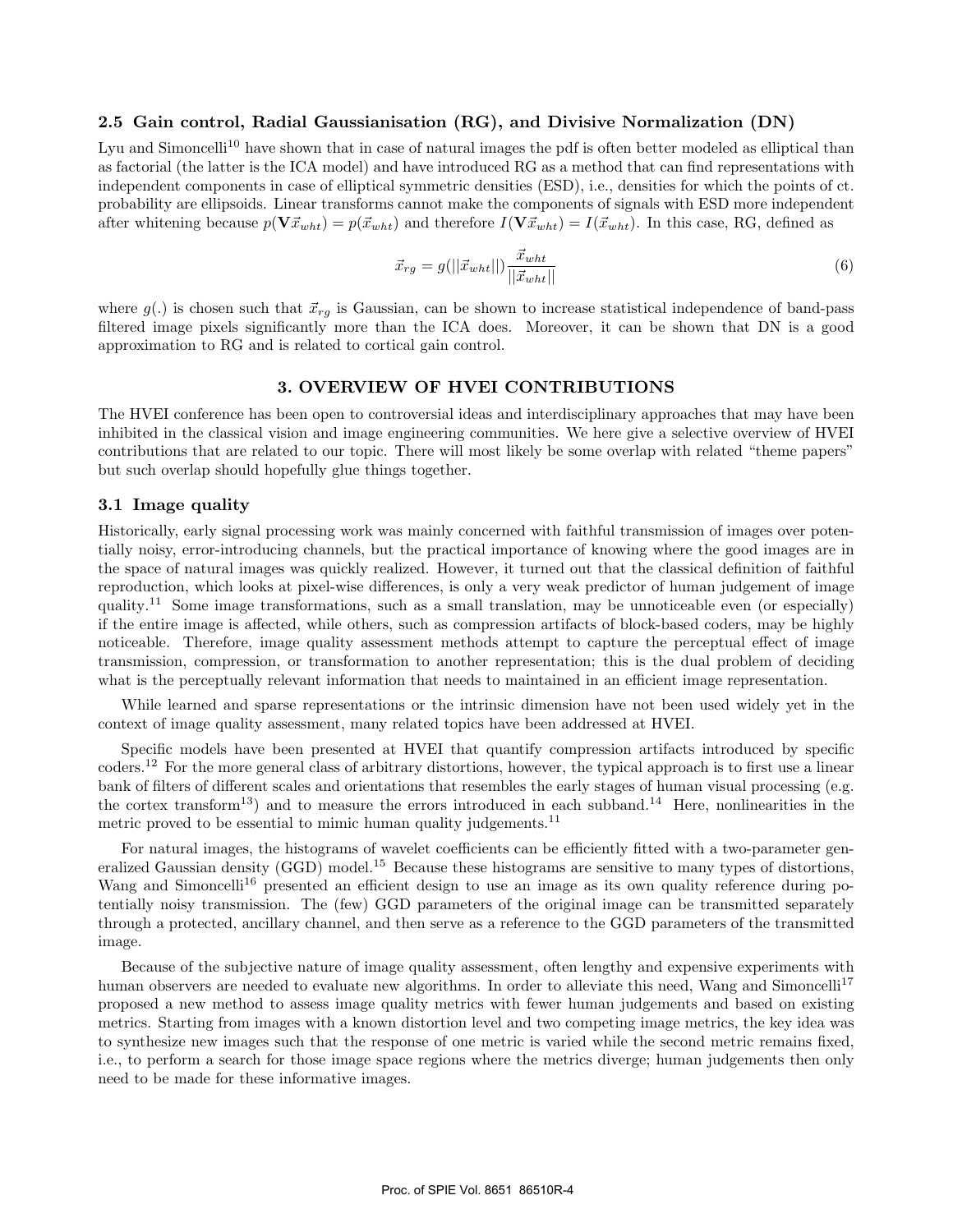## 2.5 Gain control, Radial Gaussianisation (RG), and Divisive Normalization (DN)

Lyu and Simoncelli<sup>10</sup> have shown that in case of natural images the pdf is often better modeled as elliptical than as factorial (the latter is the ICA model) and have introduced RG as a method that can find representations with independent components in case of elliptical symmetric densities (ESD), i.e., densities for which the points of ct. probability are ellipsoids. Linear transforms cannot make the components of signals with ESD more independent after whitening because  $p(\mathbf{V}\vec{x}_{wht}) = p(\vec{x}_{wht})$  and therefore  $I(\mathbf{V}\vec{x}_{wht}) = I(\vec{x}_{wht})$ . In this case, RG, defined as

$$
\vec{x}_{rg} = g(||\vec{x}_{wht}||) \frac{\vec{x}_{wht}}{||\vec{x}_{wht}||}
$$
\n(6)

where  $g(.)$  is chosen such that  $\vec{x}_{rg}$  is Gaussian, can be shown to increase statistical independence of band-pass filtered image pixels significantly more than the ICA does. Moreover, it can be shown that DN is a good approximation to RG and is related to cortical gain control.

## 3. OVERVIEW OF HVEI CONTRIBUTIONS

The HVEI conference has been open to controversial ideas and interdisciplinary approaches that may have been inhibited in the classical vision and image engineering communities. We here give a selective overview of HVEI contributions that are related to our topic. There will most likely be some overlap with related "theme papers" but such overlap should hopefully glue things together.

#### 3.1 Image quality

Historically, early signal processing work was mainly concerned with faithful transmission of images over potentially noisy, error-introducing channels, but the practical importance of knowing where the good images are in the space of natural images was quickly realized. However, it turned out that the classical definition of faithful reproduction, which looks at pixel-wise differences, is only a very weak predictor of human judgement of image quality.<sup>11</sup> Some image transformations, such as a small translation, may be unnoticeable even (or especially) if the entire image is affected, while others, such as compression artifacts of block-based coders, may be highly noticeable. Therefore, image quality assessment methods attempt to capture the perceptual effect of image transmission, compression, or transformation to another representation; this is the dual problem of deciding what is the perceptually relevant information that needs to maintained in an efficient image representation.

While learned and sparse representations or the intrinsic dimension have not been used widely yet in the context of image quality assessment, many related topics have been addressed at HVEI.

Specific models have been presented at HVEI that quantify compression artifacts introduced by specific coders.<sup>12</sup> For the more general class of arbitrary distortions, however, the typical approach is to first use a linear bank of filters of different scales and orientations that resembles the early stages of human visual processing (e.g. the cortex transform<sup>13</sup>) and to measure the errors introduced in each subband.<sup>14</sup> Here, nonlinearities in the metric proved to be essential to mimic human quality judgements.<sup>11</sup>

For natural images, the histograms of wavelet coefficients can be efficiently fitted with a two-parameter generalized Gaussian density (GGD) model.<sup>15</sup> Because these histograms are sensitive to many types of distortions, Wang and Simoncelli<sup>16</sup> presented an efficient design to use an image as its own quality reference during potentially noisy transmission. The (few) GGD parameters of the original image can be transmitted separately through a protected, ancillary channel, and then serve as a reference to the GGD parameters of the transmitted image.

Because of the subjective nature of image quality assessment, often lengthy and expensive experiments with human observers are needed to evaluate new algorithms. In order to alleviate this need, Wang and Simoncelli<sup>17</sup> proposed a new method to assess image quality metrics with fewer human judgements and based on existing metrics. Starting from images with a known distortion level and two competing image metrics, the key idea was to synthesize new images such that the response of one metric is varied while the second metric remains fixed, i.e., to perform a search for those image space regions where the metrics diverge; human judgements then only need to be made for these informative images.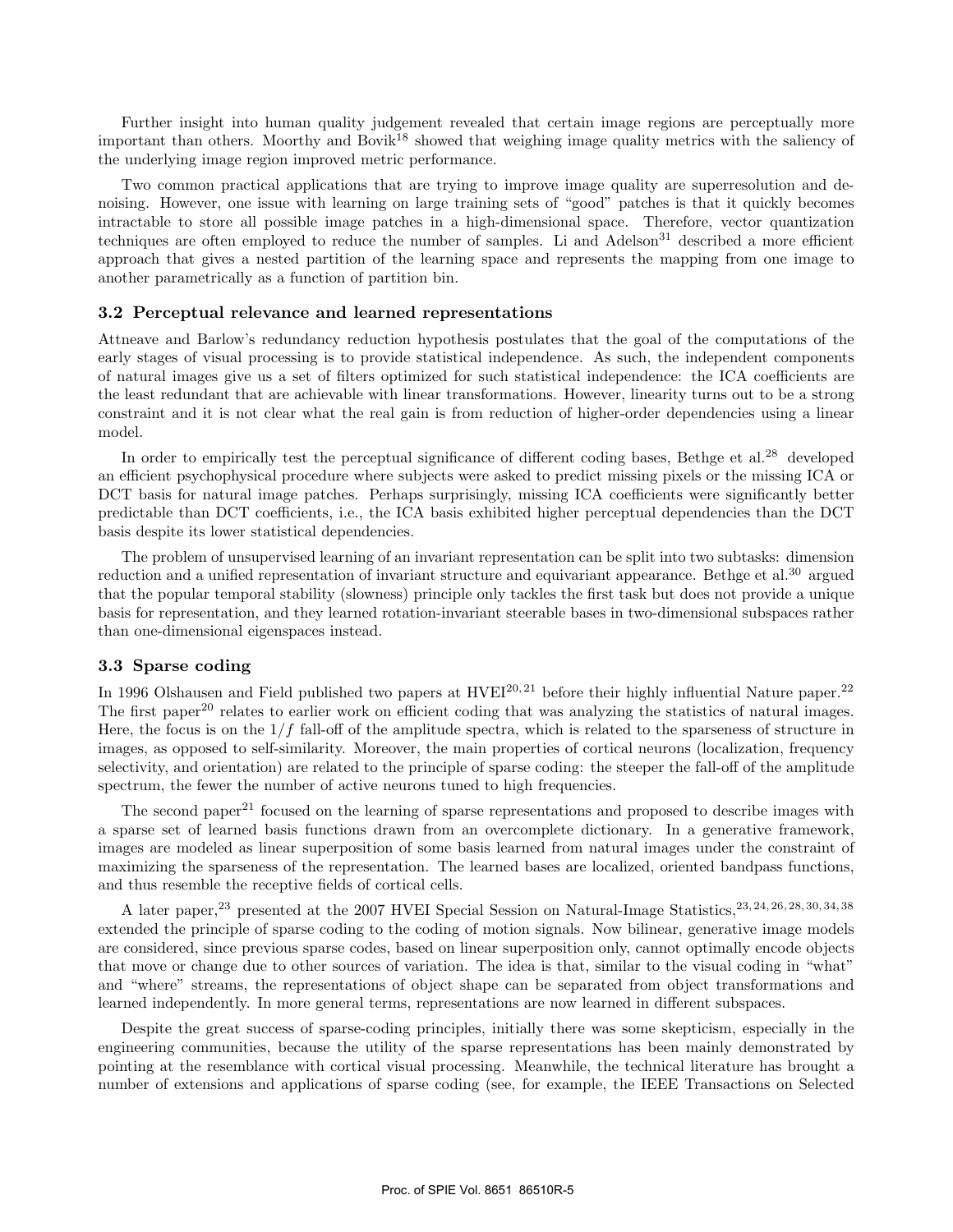Further insight into human quality judgement revealed that certain image regions are perceptually more important than others. Moorthy and Bovik<sup>18</sup> showed that weighing image quality metrics with the saliency of the underlying image region improved metric performance.

Two common practical applications that are trying to improve image quality are superresolution and denoising. However, one issue with learning on large training sets of "good" patches is that it quickly becomes intractable to store all possible image patches in a high-dimensional space. Therefore, vector quantization techniques are often employed to reduce the number of samples. Li and Adelson<sup>31</sup> described a more efficient approach that gives a nested partition of the learning space and represents the mapping from one image to another parametrically as a function of partition bin.

#### 3.2 Perceptual relevance and learned representations

Attneave and Barlow's redundancy reduction hypothesis postulates that the goal of the computations of the early stages of visual processing is to provide statistical independence. As such, the independent components of natural images give us a set of filters optimized for such statistical independence: the ICA coefficients are the least redundant that are achievable with linear transformations. However, linearity turns out to be a strong constraint and it is not clear what the real gain is from reduction of higher-order dependencies using a linear model.

In order to empirically test the perceptual significance of different coding bases, Bethge et al.<sup>28</sup> developed an efficient psychophysical procedure where subjects were asked to predict missing pixels or the missing ICA or DCT basis for natural image patches. Perhaps surprisingly, missing ICA coefficients were significantly better predictable than DCT coefficients, i.e., the ICA basis exhibited higher perceptual dependencies than the DCT basis despite its lower statistical dependencies.

The problem of unsupervised learning of an invariant representation can be split into two subtasks: dimension reduction and a unified representation of invariant structure and equivariant appearance. Bethge et al.<sup>30</sup> argued that the popular temporal stability (slowness) principle only tackles the first task but does not provide a unique basis for representation, and they learned rotation-invariant steerable bases in two-dimensional subspaces rather than one-dimensional eigenspaces instead.

## 3.3 Sparse coding

In 1996 Olshausen and Field published two papers at  $HVEI^{20, 21}$  before their highly influential Nature paper.<sup>22</sup> The first paper<sup>20</sup> relates to earlier work on efficient coding that was analyzing the statistics of natural images. Here, the focus is on the  $1/f$  fall-off of the amplitude spectra, which is related to the sparseness of structure in images, as opposed to self-similarity. Moreover, the main properties of cortical neurons (localization, frequency selectivity, and orientation) are related to the principle of sparse coding: the steeper the fall-off of the amplitude spectrum, the fewer the number of active neurons tuned to high frequencies.

The second paper<sup>21</sup> focused on the learning of sparse representations and proposed to describe images with a sparse set of learned basis functions drawn from an overcomplete dictionary. In a generative framework, images are modeled as linear superposition of some basis learned from natural images under the constraint of maximizing the sparseness of the representation. The learned bases are localized, oriented bandpass functions, and thus resemble the receptive fields of cortical cells.

A later paper,<sup>23</sup> presented at the 2007 HVEI Special Session on Natural-Image Statistics,<sup>23, 24, 26, 28, 30, 34, 38</sup> extended the principle of sparse coding to the coding of motion signals. Now bilinear, generative image models are considered, since previous sparse codes, based on linear superposition only, cannot optimally encode objects that move or change due to other sources of variation. The idea is that, similar to the visual coding in "what" and "where" streams, the representations of object shape can be separated from object transformations and learned independently. In more general terms, representations are now learned in different subspaces.

Despite the great success of sparse-coding principles, initially there was some skepticism, especially in the engineering communities, because the utility of the sparse representations has been mainly demonstrated by pointing at the resemblance with cortical visual processing. Meanwhile, the technical literature has brought a number of extensions and applications of sparse coding (see, for example, the IEEE Transactions on Selected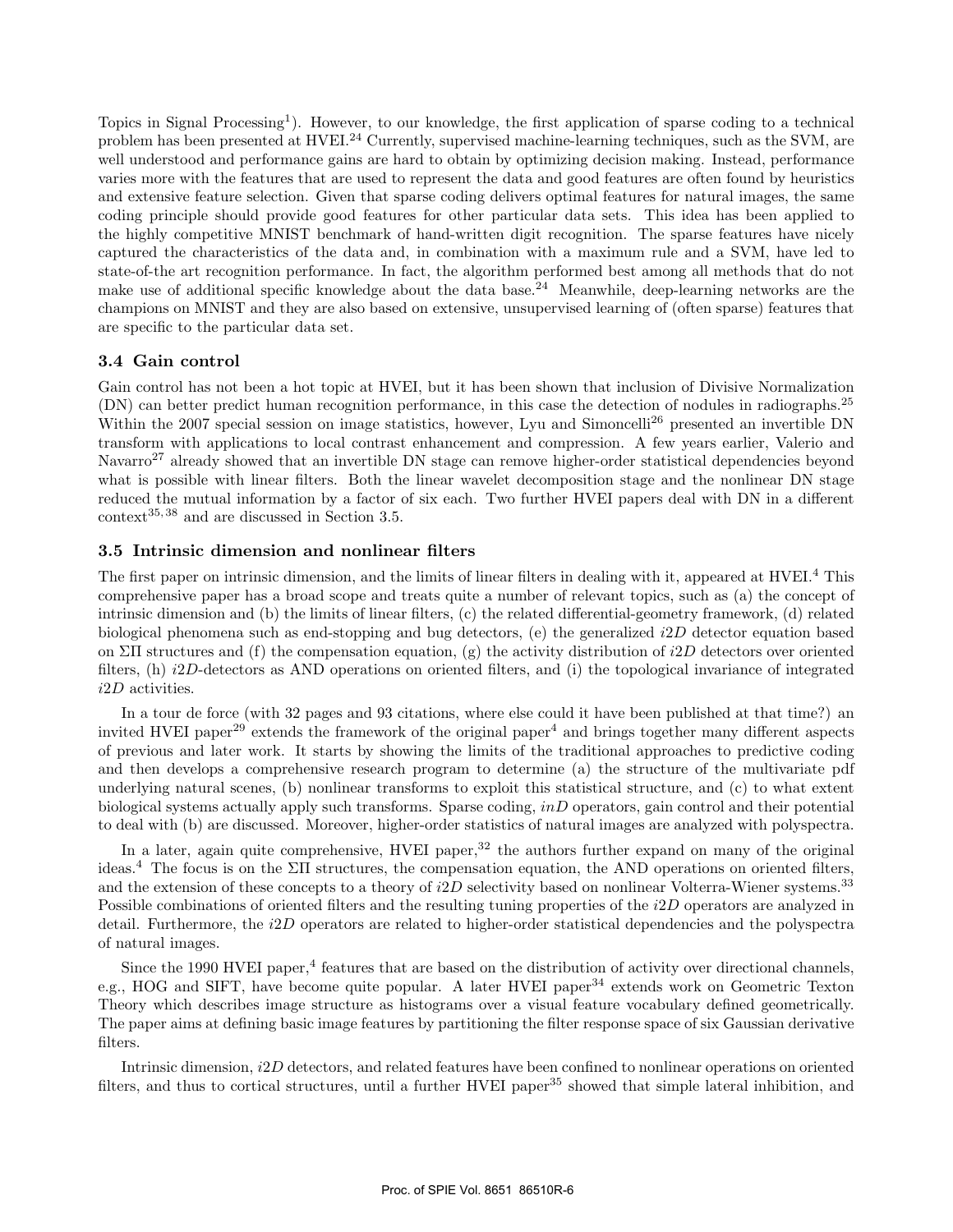Topics in Signal Processing<sup>1</sup>). However, to our knowledge, the first application of sparse coding to a technical problem has been presented at HVEI.<sup>24</sup> Currently, supervised machine-learning techniques, such as the SVM, are well understood and performance gains are hard to obtain by optimizing decision making. Instead, performance varies more with the features that are used to represent the data and good features are often found by heuristics and extensive feature selection. Given that sparse coding delivers optimal features for natural images, the same coding principle should provide good features for other particular data sets. This idea has been applied to the highly competitive MNIST benchmark of hand-written digit recognition. The sparse features have nicely captured the characteristics of the data and, in combination with a maximum rule and a SVM, have led to state-of-the art recognition performance. In fact, the algorithm performed best among all methods that do not make use of additional specific knowledge about the data base.<sup>24</sup> Meanwhile, deep-learning networks are the champions on MNIST and they are also based on extensive, unsupervised learning of (often sparse) features that are specific to the particular data set.

## 3.4 Gain control

Gain control has not been a hot topic at HVEI, but it has been shown that inclusion of Divisive Normalization (DN) can better predict human recognition performance, in this case the detection of nodules in radiographs.<sup>25</sup> Within the 2007 special session on image statistics, however, Lyu and Simoncelli<sup>26</sup> presented an invertible DN transform with applications to local contrast enhancement and compression. A few years earlier, Valerio and Navarro<sup>27</sup> already showed that an invertible DN stage can remove higher-order statistical dependencies beyond what is possible with linear filters. Both the linear wavelet decomposition stage and the nonlinear DN stage reduced the mutual information by a factor of six each. Two further HVEI papers deal with DN in a different context35, 38 and are discussed in Section 3.5.

## 3.5 Intrinsic dimension and nonlinear filters

The first paper on intrinsic dimension, and the limits of linear filters in dealing with it, appeared at HVEI.<sup>4</sup> This comprehensive paper has a broad scope and treats quite a number of relevant topics, such as (a) the concept of intrinsic dimension and (b) the limits of linear filters, (c) the related differential-geometry framework, (d) related biological phenomena such as end-stopping and bug detectors, (e) the generalized i2D detector equation based on  $\Sigma\Pi$  structures and (f) the compensation equation, (g) the activity distribution of i2D detectors over oriented filters, (h)  $i2D$ -detectors as AND operations on oriented filters, and (i) the topological invariance of integrated i2D activities.

In a tour de force (with 32 pages and 93 citations, where else could it have been published at that time?) an invited HVEI paper<sup>29</sup> extends the framework of the original paper<sup>4</sup> and brings together many different aspects of previous and later work. It starts by showing the limits of the traditional approaches to predictive coding and then develops a comprehensive research program to determine (a) the structure of the multivariate pdf underlying natural scenes, (b) nonlinear transforms to exploit this statistical structure, and (c) to what extent biological systems actually apply such transforms. Sparse coding,  $inD$  operators, gain control and their potential to deal with (b) are discussed. Moreover, higher-order statistics of natural images are analyzed with polyspectra.

In a later, again quite comprehensive, HVEI paper,  $32$  the authors further expand on many of the original ideas.<sup>4</sup> The focus is on the ΣΠ structures, the compensation equation, the AND operations on oriented filters, and the extension of these concepts to a theory of  $i2D$  selectivity based on nonlinear Volterra-Wiener systems.<sup>33</sup> Possible combinations of oriented filters and the resulting tuning properties of the i2D operators are analyzed in detail. Furthermore, the i2D operators are related to higher-order statistical dependencies and the polyspectra of natural images.

Since the 1990 HVEI paper,<sup>4</sup> features that are based on the distribution of activity over directional channels, e.g., HOG and SIFT, have become quite popular. A later HVEI paper<sup>34</sup> extends work on Geometric Texton Theory which describes image structure as histograms over a visual feature vocabulary defined geometrically. The paper aims at defining basic image features by partitioning the filter response space of six Gaussian derivative filters.

Intrinsic dimension, i2D detectors, and related features have been confined to nonlinear operations on oriented filters, and thus to cortical structures, until a further HVEI paper<sup>35</sup> showed that simple lateral inhibition, and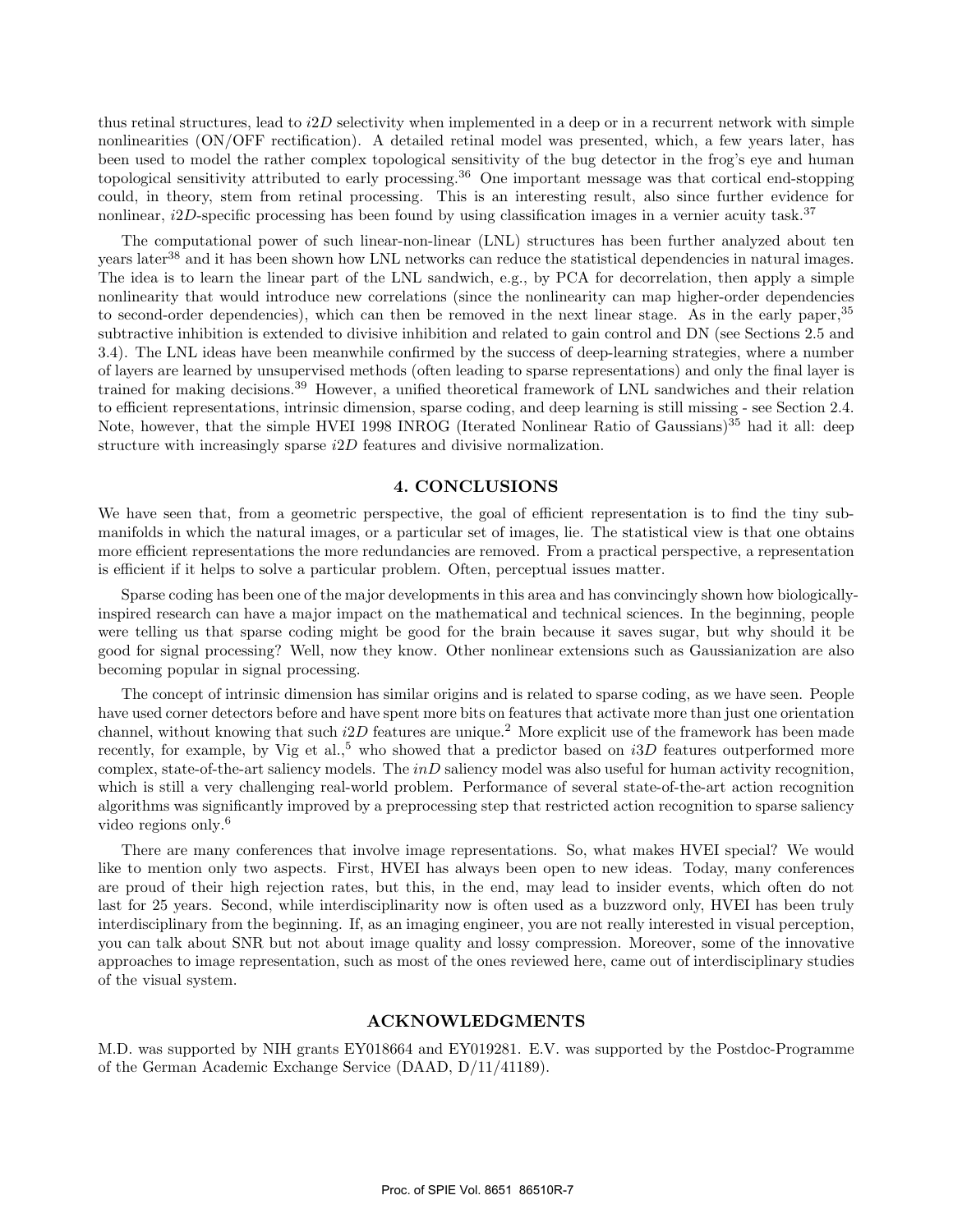thus retinal structures, lead to  $i2D$  selectivity when implemented in a deep or in a recurrent network with simple nonlinearities (ON/OFF rectification). A detailed retinal model was presented, which, a few years later, has been used to model the rather complex topological sensitivity of the bug detector in the frog's eye and human topological sensitivity attributed to early processing.<sup>36</sup> One important message was that cortical end-stopping could, in theory, stem from retinal processing. This is an interesting result, also since further evidence for nonlinear,  $i2D$ -specific processing has been found by using classification images in a vernier acuity task.<sup>37</sup>

The computational power of such linear-non-linear (LNL) structures has been further analyzed about ten years later<sup>38</sup> and it has been shown how LNL networks can reduce the statistical dependencies in natural images. The idea is to learn the linear part of the LNL sandwich, e.g., by PCA for decorrelation, then apply a simple nonlinearity that would introduce new correlations (since the nonlinearity can map higher-order dependencies to second-order dependencies), which can then be removed in the next linear stage. As in the early paper,<sup>35</sup> subtractive inhibition is extended to divisive inhibition and related to gain control and DN (see Sections 2.5 and 3.4). The LNL ideas have been meanwhile confirmed by the success of deep-learning strategies, where a number of layers are learned by unsupervised methods (often leading to sparse representations) and only the final layer is trained for making decisions.<sup>39</sup> However, a unified theoretical framework of LNL sandwiches and their relation to efficient representations, intrinsic dimension, sparse coding, and deep learning is still missing - see Section 2.4. Note, however, that the simple HVEI 1998 INROG (Iterated Nonlinear Ratio of Gaussians)<sup>35</sup> had it all: deep structure with increasingly sparse  $i2D$  features and divisive normalization.

## 4. CONCLUSIONS

We have seen that, from a geometric perspective, the goal of efficient representation is to find the tiny submanifolds in which the natural images, or a particular set of images, lie. The statistical view is that one obtains more efficient representations the more redundancies are removed. From a practical perspective, a representation is efficient if it helps to solve a particular problem. Often, perceptual issues matter.

Sparse coding has been one of the major developments in this area and has convincingly shown how biologicallyinspired research can have a major impact on the mathematical and technical sciences. In the beginning, people were telling us that sparse coding might be good for the brain because it saves sugar, but why should it be good for signal processing? Well, now they know. Other nonlinear extensions such as Gaussianization are also becoming popular in signal processing.

The concept of intrinsic dimension has similar origins and is related to sparse coding, as we have seen. People have used corner detectors before and have spent more bits on features that activate more than just one orientation channel, without knowing that such  $i2D$  features are unique.<sup>2</sup> More explicit use of the framework has been made recently, for example, by Vig et al.,<sup>5</sup> who showed that a predictor based on  $i3D$  features outperformed more complex, state-of-the-art saliency models. The  $inD$  saliency model was also useful for human activity recognition, which is still a very challenging real-world problem. Performance of several state-of-the-art action recognition algorithms was significantly improved by a preprocessing step that restricted action recognition to sparse saliency video regions only.<sup>6</sup>

There are many conferences that involve image representations. So, what makes HVEI special? We would like to mention only two aspects. First, HVEI has always been open to new ideas. Today, many conferences are proud of their high rejection rates, but this, in the end, may lead to insider events, which often do not last for 25 years. Second, while interdisciplinarity now is often used as a buzzword only, HVEI has been truly interdisciplinary from the beginning. If, as an imaging engineer, you are not really interested in visual perception, you can talk about SNR but not about image quality and lossy compression. Moreover, some of the innovative approaches to image representation, such as most of the ones reviewed here, came out of interdisciplinary studies of the visual system.

#### ACKNOWLEDGMENTS

M.D. was supported by NIH grants EY018664 and EY019281. E.V. was supported by the Postdoc-Programme of the German Academic Exchange Service (DAAD, D/11/41189).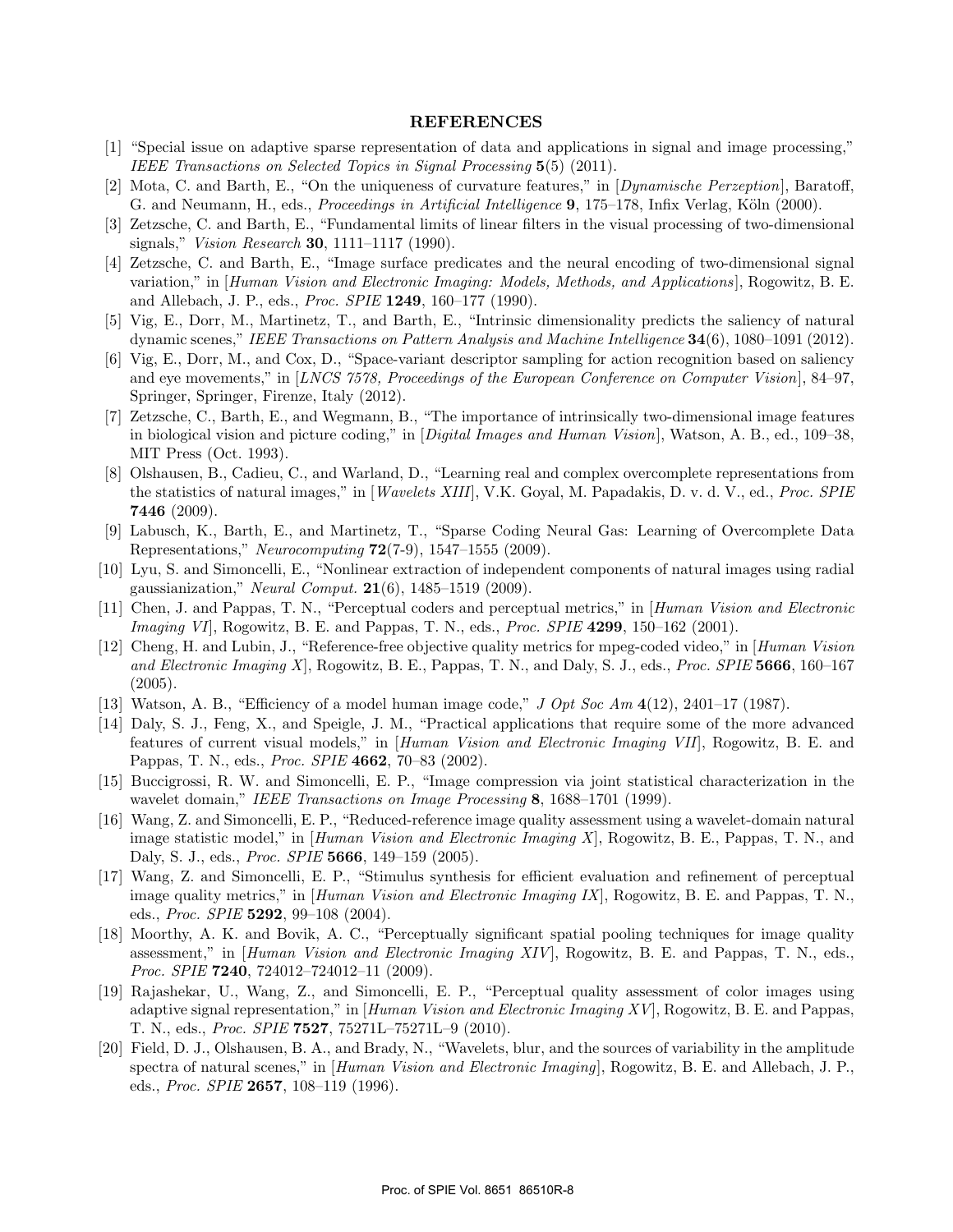#### REFERENCES

- [1] "Special issue on adaptive sparse representation of data and applications in signal and image processing," IEEE Transactions on Selected Topics in Signal Processing 5(5) (2011).
- [2] Mota, C. and Barth, E., "On the uniqueness of curvature features," in [Dynamische Perzeption], Baratoff, G. and Neumann, H., eds., *Proceedings in Artificial Intelligence* 9, 175–178, Infix Verlag, Köln (2000).
- [3] Zetzsche, C. and Barth, E., "Fundamental limits of linear filters in the visual processing of two-dimensional signals," Vision Research 30, 1111–1117 (1990).
- [4] Zetzsche, C. and Barth, E., "Image surface predicates and the neural encoding of two-dimensional signal variation," in [Human Vision and Electronic Imaging: Models, Methods, and Applications], Rogowitz, B. E. and Allebach, J. P., eds., Proc. SPIE 1249, 160–177 (1990).
- [5] Vig, E., Dorr, M., Martinetz, T., and Barth, E., "Intrinsic dimensionality predicts the saliency of natural dynamic scenes," IEEE Transactions on Pattern Analysis and Machine Intelligence 34(6), 1080–1091 (2012).
- [6] Vig, E., Dorr, M., and Cox, D., "Space-variant descriptor sampling for action recognition based on saliency and eye movements," in [LNCS 7578, Proceedings of the European Conference on Computer Vision], 84–97, Springer, Springer, Firenze, Italy (2012).
- [7] Zetzsche, C., Barth, E., and Wegmann, B., "The importance of intrinsically two-dimensional image features in biological vision and picture coding," in [Digital Images and Human Vision], Watson, A. B., ed., 109–38, MIT Press (Oct. 1993).
- [8] Olshausen, B., Cadieu, C., and Warland, D., "Learning real and complex overcomplete representations from the statistics of natural images," in [Wavelets XIII], V.K. Goyal, M. Papadakis, D. v. d. V., ed., *Proc. SPIE* 7446 (2009).
- [9] Labusch, K., Barth, E., and Martinetz, T., "Sparse Coding Neural Gas: Learning of Overcomplete Data Representations," Neurocomputing 72(7-9), 1547–1555 (2009).
- [10] Lyu, S. and Simoncelli, E., "Nonlinear extraction of independent components of natural images using radial gaussianization," Neural Comput. 21(6), 1485–1519 (2009).
- [11] Chen, J. and Pappas, T. N., "Perceptual coders and perceptual metrics," in [Human Vision and Electronic *Imaging VI*, Rogowitz, B. E. and Pappas, T. N., eds., *Proc. SPIE* **4299**, 150–162 (2001).
- [12] Cheng, H. and Lubin, J., "Reference-free objective quality metrics for mpeg-coded video," in [Human Vision and Electronic Imaging  $X$ , Rogowitz, B. E., Pappas, T. N., and Daly, S. J., eds., Proc. SPIE 5666, 160–167 (2005).
- [13] Watson, A. B., "Efficiency of a model human image code,"  $J$  Opt Soc Am  $4(12)$ , 2401–17 (1987).
- [14] Daly, S. J., Feng, X., and Speigle, J. M., "Practical applications that require some of the more advanced features of current visual models," in [Human Vision and Electronic Imaging VII], Rogowitz, B. E. and Pappas, T. N., eds., *Proc. SPIE* 4662, 70-83 (2002).
- [15] Buccigrossi, R. W. and Simoncelli, E. P., "Image compression via joint statistical characterization in the wavelet domain," IEEE Transactions on Image Processing 8, 1688–1701 (1999).
- [16] Wang, Z. and Simoncelli, E. P., "Reduced-reference image quality assessment using a wavelet-domain natural image statistic model," in [Human Vision and Electronic Imaging X], Rogowitz, B. E., Pappas, T. N., and Daly, S. J., eds., *Proc. SPIE* **5666**, 149–159 (2005).
- [17] Wang, Z. and Simoncelli, E. P., "Stimulus synthesis for efficient evaluation and refinement of perceptual image quality metrics," in  $[Human\ Vision\ and\ Electronic\ Imaging\ IX]$ , Rogowitz, B. E. and Pappas, T. N., eds., *Proc. SPIE* **5292**, 99–108 (2004).
- [18] Moorthy, A. K. and Bovik, A. C., "Perceptually significant spatial pooling techniques for image quality assessment," in [Human Vision and Electronic Imaging XIV], Rogowitz, B. E. and Pappas, T. N., eds., Proc. SPIE 7240, 724012–724012–11 (2009).
- [19] Rajashekar, U., Wang, Z., and Simoncelli, E. P., "Perceptual quality assessment of color images using adaptive signal representation," in [Human Vision and Electronic Imaging XV], Rogowitz, B. E. and Pappas, T. N., eds., Proc. SPIE 7527, 75271L–75271L–9 (2010).
- [20] Field, D. J., Olshausen, B. A., and Brady, N., "Wavelets, blur, and the sources of variability in the amplitude spectra of natural scenes," in  $[Human\ Vision\ and\ Electronic\ Imaging]$ , Rogowitz, B. E. and Allebach, J. P., eds., *Proc. SPIE* 2657, 108-119 (1996).